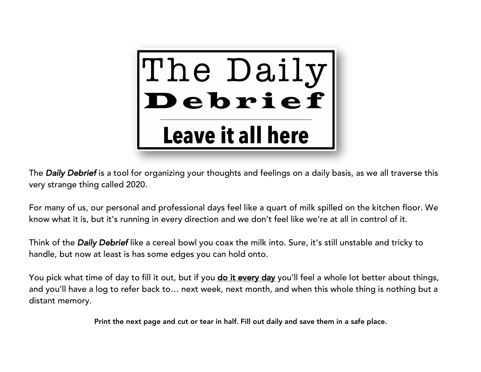

The *Daily Debrief* is a tool for organizing your thoughts and feelings on a daily basis, as we all traverse this very strange thing called 2020.

For many of us, our personal and professional days feel like a quart of milk spilled on the kitchen floor. We know what it is, but it's running in every direction and we don't feel like we're at all in control of it.

Think of the *Daily Debrief* like a cereal bowl you coax the milk into. Sure, it's still unstable and tricky to handle, but now at least is has some edges you can hold onto.

You pick what time of day to fill it out, but if you **do it every day** you'll feel a whole lot better about things, and you'll have a log to refer back to… next week, next month, and when this whole thing is nothing but a distant memory.

Print the next page and cut or tear in half. Fill out daily and save them in a safe place.